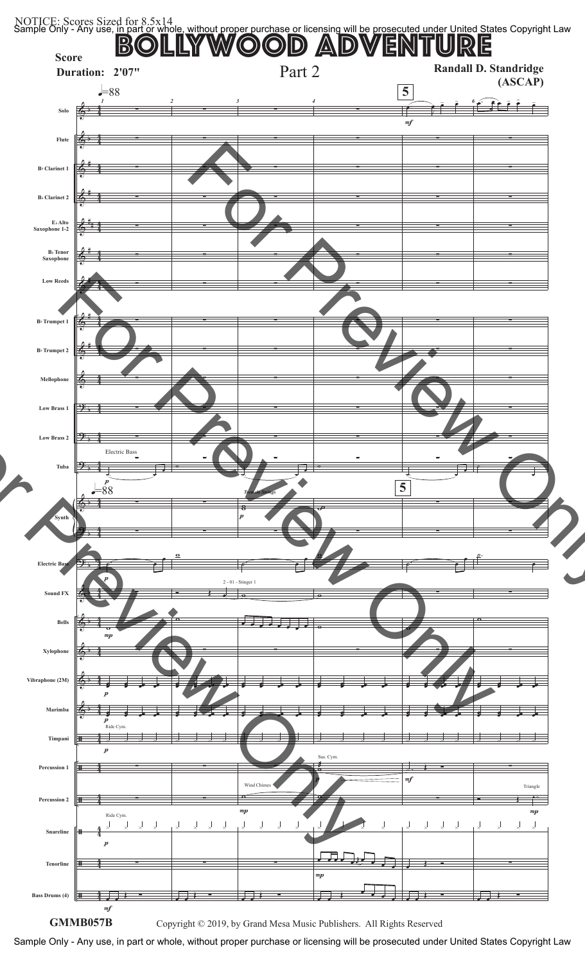

Sample Only - Any use, in part or whole, without proper purchase or licensing will be prosecuted under United States Copyright Law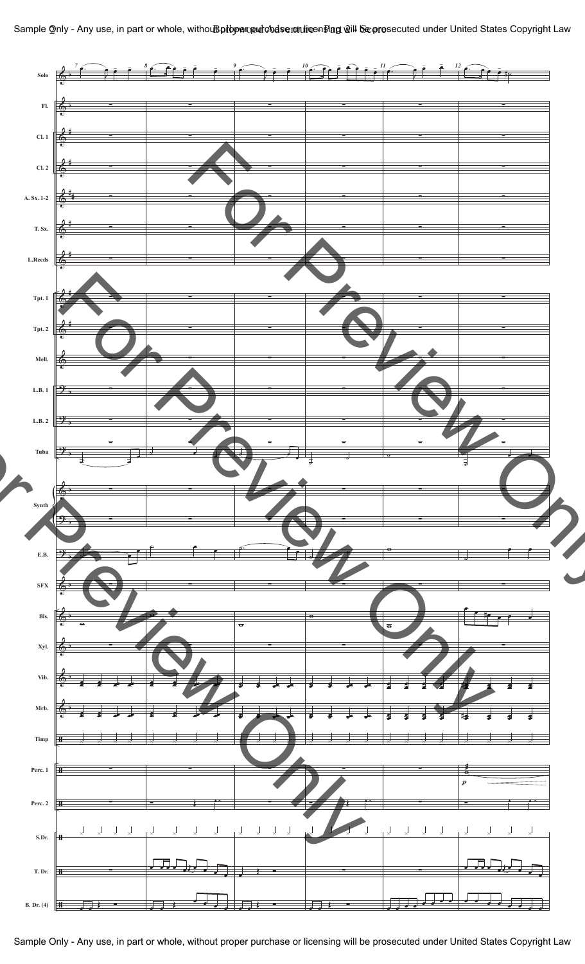

Sample Only - Any use, in part or whole, without proper purchase or licensing will be prosecuted under United States Copyright Law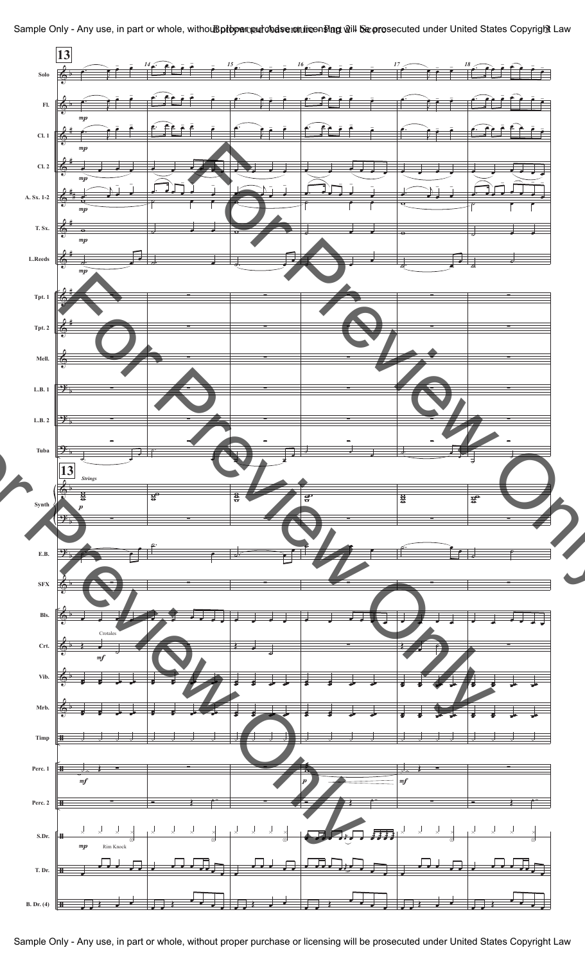

Sample Only - Any use, in part or whole, withou**Bpibper purchase on licensing will be pro**secuted under United States Copyright Law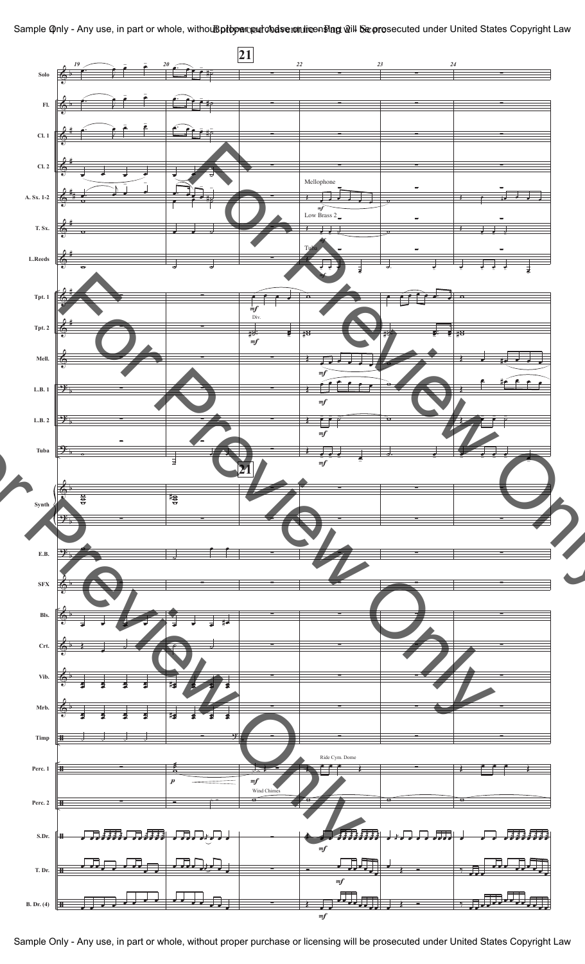

Sample <mark>Only - Any use, in part or whole, withouBptoper purchase ron licensing will be pro</mark>secuted under United States Copyright Law

Sample Only - Any use, in part or whole, without proper purchase or licensing will be prosecuted under United States Copyright Law

 $m\bar{f}$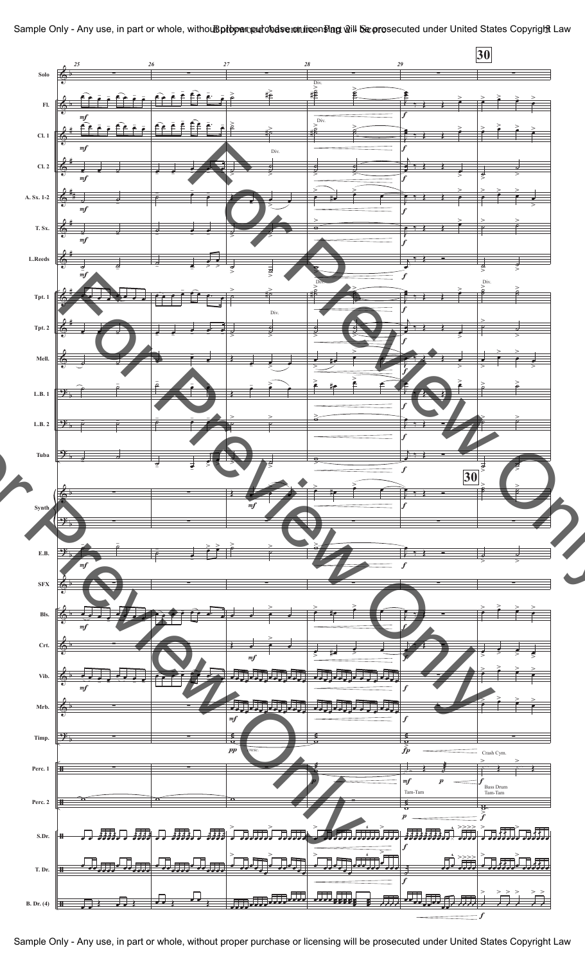



Sample Only - Any use, in part or whole, without proper purchase or licensing will be prosecuted under United States Copyright Law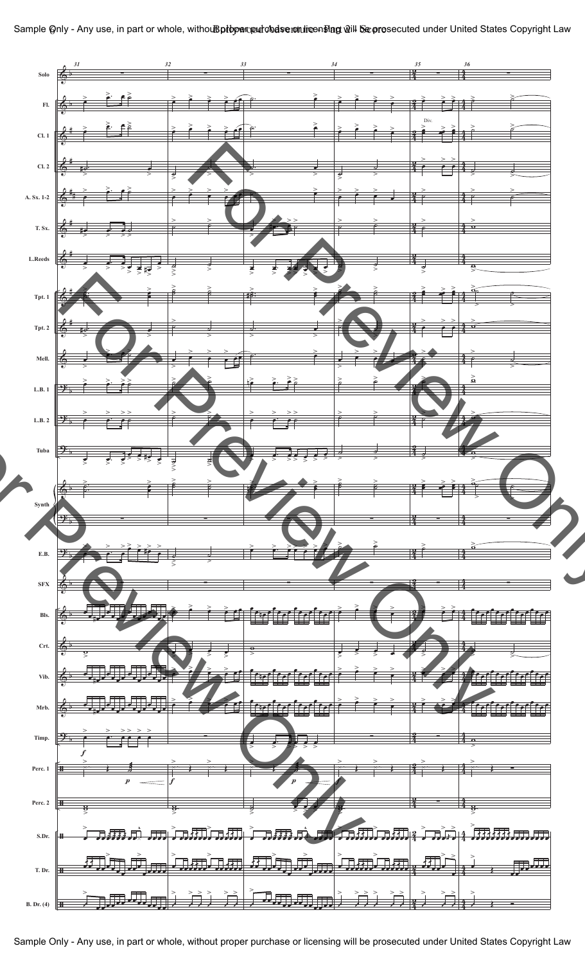

Sample Only - Any use, in part or whole, without proper purchase or licensing will be prosecuted under United States Copyright Law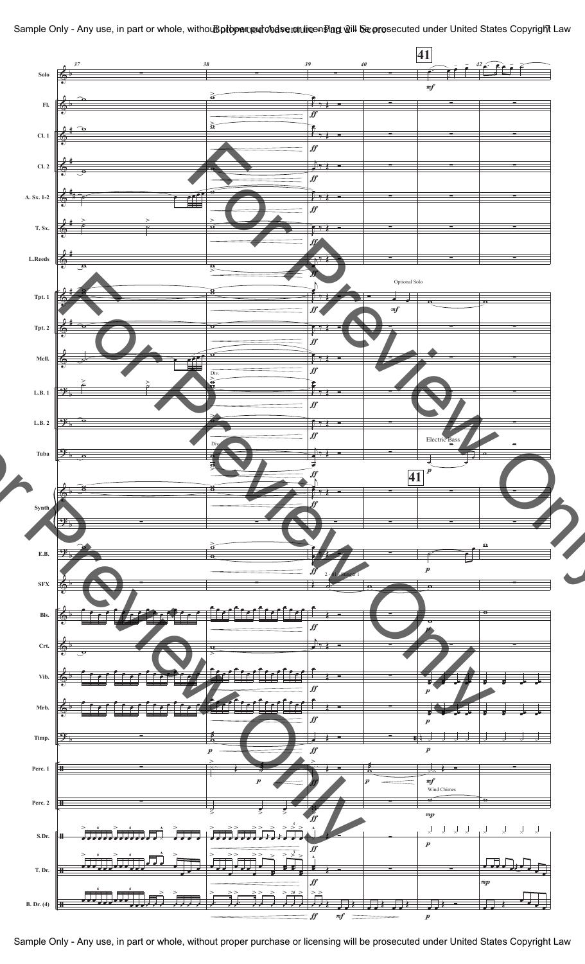

Sample Only - Any use, in part or whole, without proper purchase or licensing will be prosecuted under United States Copyright Law